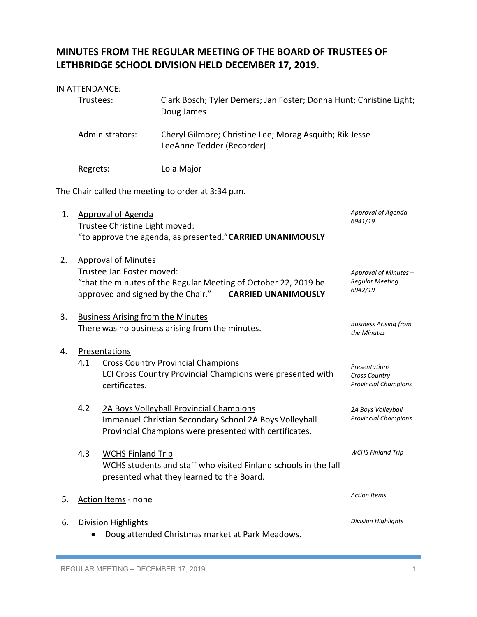## **MINUTES FROM THE REGULAR MEETING OF THE BOARD OF TRUSTEES OF LETHBRIDGE SCHOOL DIVISION HELD DECEMBER 17, 2019.**

## IN ATTENDANCE:

|                                                    | Trustees:<br>Doug James                                                                                                                                                                        |                                | Clark Bosch; Tyler Demers; Jan Foster; Donna Hunt; Christine Light;                                                                                         |                                                                      |  |  |  |
|----------------------------------------------------|------------------------------------------------------------------------------------------------------------------------------------------------------------------------------------------------|--------------------------------|-------------------------------------------------------------------------------------------------------------------------------------------------------------|----------------------------------------------------------------------|--|--|--|
|                                                    |                                                                                                                                                                                                | Administrators:                | Cheryl Gilmore; Christine Lee; Morag Asquith; Rik Jesse<br>LeeAnne Tedder (Recorder)                                                                        |                                                                      |  |  |  |
|                                                    | Regrets:                                                                                                                                                                                       |                                | Lola Major                                                                                                                                                  |                                                                      |  |  |  |
| The Chair called the meeting to order at 3:34 p.m. |                                                                                                                                                                                                |                                |                                                                                                                                                             |                                                                      |  |  |  |
| 1.                                                 | <b>Approval of Agenda</b><br>6941/19<br>Trustee Christine Light moved:<br>"to approve the agenda, as presented." CARRIED UNANIMOUSLY                                                           |                                |                                                                                                                                                             | Approval of Agenda                                                   |  |  |  |
| 2.                                                 | <b>Approval of Minutes</b><br>Trustee Jan Foster moved:<br>"that the minutes of the Regular Meeting of October 22, 2019 be<br>approved and signed by the Chair."<br><b>CARRIED UNANIMOUSLY</b> |                                |                                                                                                                                                             | Approval of Minutes -<br><b>Regular Meeting</b><br>6942/19           |  |  |  |
| 3.                                                 | <b>Business Arising from the Minutes</b><br><b>Business Arising from</b><br>There was no business arising from the minutes.<br>the Minutes                                                     |                                |                                                                                                                                                             |                                                                      |  |  |  |
| 4.                                                 | 4.1                                                                                                                                                                                            | Presentations<br>certificates. | <b>Cross Country Provincial Champions</b><br>LCI Cross Country Provincial Champions were presented with                                                     | Presentations<br><b>Cross Country</b><br><b>Provincial Champions</b> |  |  |  |
|                                                    | 4.2                                                                                                                                                                                            |                                | 2A Boys Volleyball Provincial Champions<br>Immanuel Christian Secondary School 2A Boys Volleyball<br>Provincial Champions were presented with certificates. | 2A Boys Volleyball<br><b>Provincial Champions</b>                    |  |  |  |
|                                                    | 4.3                                                                                                                                                                                            | <b>WCHS Finland Trip</b>       | WCHS students and staff who visited Finland schools in the fall<br>presented what they learned to the Board.                                                | <b>WCHS Finland Trip</b>                                             |  |  |  |
| 5.                                                 | <b>Action Items - none</b>                                                                                                                                                                     |                                |                                                                                                                                                             | <b>Action Items</b>                                                  |  |  |  |
| 6.                                                 |                                                                                                                                                                                                | <b>Division Highlights</b>     | Doug attended Christmas market at Park Meadows.                                                                                                             | <b>Division Highlights</b>                                           |  |  |  |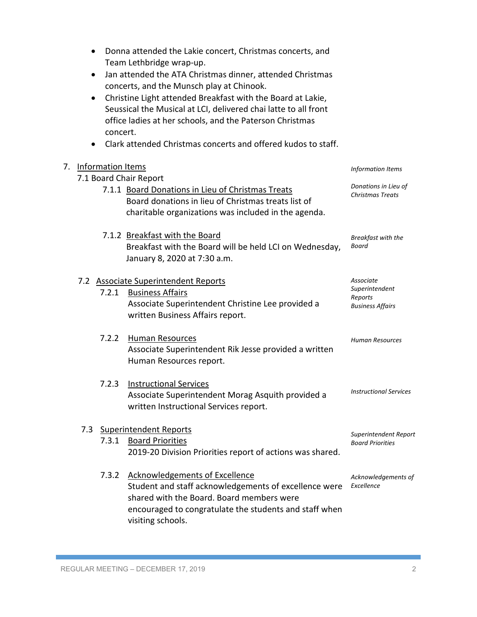|    | ٠<br>٠<br>٠       | Donna attended the Lakie concert, Christmas concerts, and<br>Team Lethbridge wrap-up.<br>Jan attended the ATA Christmas dinner, attended Christmas<br>concerts, and the Munsch play at Chinook.<br>Christine Light attended Breakfast with the Board at Lakie,<br>Seussical the Musical at LCI, delivered chai latte to all front<br>office ladies at her schools, and the Paterson Christmas<br>concert.<br>Clark attended Christmas concerts and offered kudos to staff. |                                                                   |
|----|-------------------|----------------------------------------------------------------------------------------------------------------------------------------------------------------------------------------------------------------------------------------------------------------------------------------------------------------------------------------------------------------------------------------------------------------------------------------------------------------------------|-------------------------------------------------------------------|
| 7. | Information Items | Information Items                                                                                                                                                                                                                                                                                                                                                                                                                                                          |                                                                   |
|    |                   | 7.1 Board Chair Report                                                                                                                                                                                                                                                                                                                                                                                                                                                     |                                                                   |
|    |                   | 7.1.1 Board Donations in Lieu of Christmas Treats<br>Board donations in lieu of Christmas treats list of<br>charitable organizations was included in the agenda.                                                                                                                                                                                                                                                                                                           | Donations in Lieu of<br><b>Christmas Treats</b>                   |
|    |                   | 7.1.2 Breakfast with the Board<br>Breakfast with the Board will be held LCI on Wednesday,<br>January 8, 2020 at 7:30 a.m.                                                                                                                                                                                                                                                                                                                                                  | Breakfast with the<br>Board                                       |
|    | 7.2.1             | 7.2 Associate Superintendent Reports<br><b>Business Affairs</b><br>Associate Superintendent Christine Lee provided a<br>written Business Affairs report.                                                                                                                                                                                                                                                                                                                   | Associate<br>Superintendent<br>Reports<br><b>Business Affairs</b> |
|    | 7.2.2             | <b>Human Resources</b><br>Associate Superintendent Rik Jesse provided a written<br>Human Resources report.                                                                                                                                                                                                                                                                                                                                                                 | Human Resources                                                   |
|    | 7.2.3             | <b>Instructional Services</b><br>Associate Superintendent Morag Asquith provided a<br>written Instructional Services report.                                                                                                                                                                                                                                                                                                                                               | <b>Instructional Services</b>                                     |
|    |                   | 7.3 Superintendent Reports                                                                                                                                                                                                                                                                                                                                                                                                                                                 |                                                                   |
|    | 7.3.1             | <b>Board Priorities</b><br>2019-20 Division Priorities report of actions was shared.                                                                                                                                                                                                                                                                                                                                                                                       | Superintendent Report<br><b>Board Priorities</b>                  |
|    | 7.3.2             | <b>Acknowledgements of Excellence</b><br>Student and staff acknowledgements of excellence were<br>shared with the Board. Board members were<br>encouraged to congratulate the students and staff when<br>visiting schools.                                                                                                                                                                                                                                                 | Acknowledgements of<br>Excellence                                 |